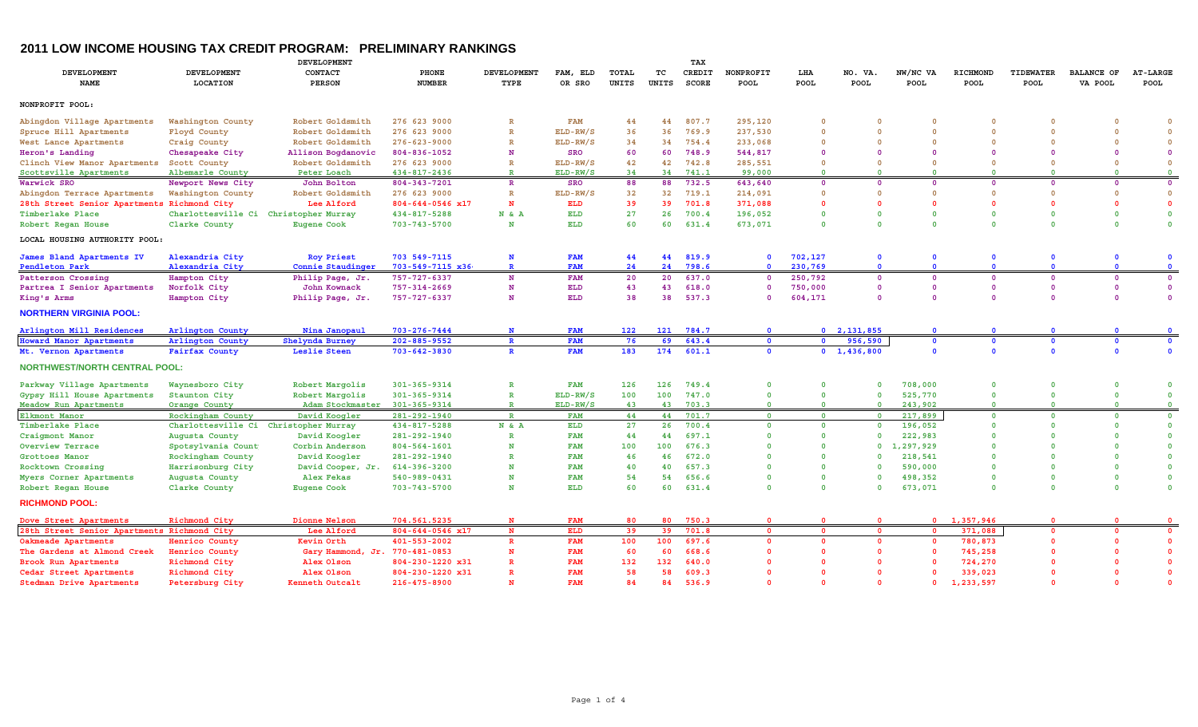## **2011 LOW INCOME HOUSING TAX CREDIT PROGRAM: PRELIMINARY RANKINGS**

|                                             |                         | <b>DEVELOPMENT</b>                    |                        |                    |            |              | TAX          |              |                         |                         |                     |                         |                     |              |                         |                 |
|---------------------------------------------|-------------------------|---------------------------------------|------------------------|--------------------|------------|--------------|--------------|--------------|-------------------------|-------------------------|---------------------|-------------------------|---------------------|--------------|-------------------------|-----------------|
| <b>DEVELOPMENT</b>                          | <b>DEVELOPMENT</b>      | CONTACT                               | PHONE                  | <b>DEVELOPMENT</b> | FAM, ELD   | TOTAL        | тc           | CREDIT       | NONPROFIT               | LHA                     | NO. VA              | NW/NC VA                | RICHMOND            | TIDEWATER    | <b>BALANCE OF</b>       | <b>AT-LARGE</b> |
| <b>NAME</b>                                 | LOCATION                | <b>PERSON</b>                         | <b>NUMBER</b>          | TYPE               | OR SRO     | <b>UNITS</b> | <b>UNITS</b> | <b>SCORE</b> | <b>POOL</b>             | POOL                    | POOL                | POOL                    | POOL                | <b>POOL</b>  | VA POOL                 | POOL            |
| NONPROFIT POOL:                             |                         |                                       |                        |                    |            |              |              |              |                         |                         |                     |                         |                     |              |                         |                 |
| Abingdon Village Apartments                 | Washington County       | Robert Goldsmith                      | 276 623 9000           | $\mathbb{R}$       | <b>FAM</b> | 44           | 44           | 807.7        | 295,120                 | $\Omega$                | $\Omega$            | $\Omega$                | $\Omega$            | $\Omega$     | $\Omega$                | $\Omega$        |
| Spruce Hill Apartments                      | Floyd County            | Robert Goldsmith                      | 276 623 9000           | $\mathbb{R}$       | ELD-RW/S   | 36           | 36           | 769.9        | 237,530                 | $\Omega$                | $\Omega$            | $\Omega$                | $\Omega$            | $\Omega$     | $\Omega$                | $\Omega$        |
| West Lance Apartments                       | Craig County            | Robert Goldsmith                      | $276 - 623 - 9000$     | $\mathbb{R}$       | ELD-RW/S   | 34           | 34           | 754.4        | 233,068                 | $\Omega$                | $\Omega$            | $\Omega$                | $\Omega$            | $\Omega$     | $\Omega$                | $\Omega$        |
| Heron's Landing                             | Chesapeake City         | Allison Bogdanovic                    | 804-836-1052           | N                  | <b>SRO</b> | 60           | 60           | 748.9        | 544,817                 | $\Omega$                | $\Omega$            | $\Omega$                | $\Omega$            | $\Omega$     | $\Omega$                | $\Omega$        |
| Clinch View Manor Apartments                | Scott County            | Robert Goldsmith                      | 276 623 9000           | $\mathbb{R}$       | ELD-RW/S   | 42           | 42           | 742.8        | 285,551                 | $\Omega$                | $\Omega$            | $\Omega$                | $\Omega$            | $\Omega$     | $\Omega$                | $\Omega$        |
| Scottsville Apartments                      | Albemarle County        | Peter Loach                           | 434-817-2436           | $\mathbb{R}$       | ELD-RW/S   | 34           | 34           | 741.1        | 99,000                  | $\Omega$                | $\Omega$            | $\Omega$                | $\Omega$            | $\Omega$     | $\Omega$                | $\mathbf{O}$    |
| Warwick SRO                                 | Newport News City       | John Bolton                           | 804-343-7201           | $\mathbb{R}$       | <b>SRO</b> | 88           | 88           | 732.5        | 643,640                 | $\Omega$                | $\Omega$            | $\Omega$                | $\Omega$            | $\Omega$     | $\mathbf 0$             | $\mathbf{0}$    |
| Abingdon Terrace Apartments                 | Washington County       | Robert Goldsmith                      | 276 623 9000           | $\mathbb{R}$       | ELD-RW/S   | 32           | 32           | 719.1        | 214,091                 | $\mathbf 0$             | $\Omega$            | $\Omega$                | $\Omega$            | $\mathbf 0$  | $\mathbf 0$             | $\mathbf 0$     |
| 28th Street Senior Apartments               | Richmond City           | Lee Alford                            | $804 - 644 - 0546$ x17 | N                  | ELD        | 39           | 39           | 701.8        | 371,088                 | $\Omega$                |                     | $\Omega$                | $\Omega$            | $\Omega$     | $\mathbf{0}$            | $\mathbf{0}$    |
| Timberlake Place                            |                         | Charlottesville Ci Christopher Murray | 434-817-5288           | N & A              | <b>ELD</b> | 27           | 26           | 700.4        | 196,052                 | $\mathbf 0$             | $\Omega$            | $\Omega$                | $\Omega$            | $\mathbf 0$  | $\mathbf 0$             | $\mathbf 0$     |
| Robert Regan House                          | Clarke County           | <b>Eugene Cook</b>                    | $703 - 743 - 5700$     | N                  | <b>ELD</b> | 60           | 60           | 631.4        | 673,071                 | $\Omega$                | $\Omega$            | $\Omega$                | $\Omega$            | $\mathbf{0}$ | $\Omega$                | $\mathbf 0$     |
| LOCAL HOUSING AUTHORITY POOL:               |                         |                                       |                        |                    |            |              |              |              |                         |                         |                     |                         |                     |              |                         |                 |
| James Bland Apartments IV                   | Alexandria City         | <b>Roy Priest</b>                     | 703 549-7115           | N                  | <b>FAM</b> | 44           | 44           | 819.9        | $\mathbf{0}$            | 702,127                 | $\mathbf 0$         | $\mathbf{0}$            | $\mathbf{0}$        | $\mathbf 0$  | $\mathbf{0}$            | $\mathbf 0$     |
| <b>Pendleton Park</b>                       | Alexandria City         | Connie Staudinger                     | $703 - 549 - 7115$ x36 | $\mathbb{R}$       | <b>FAM</b> | 24           | 24           | 798.6        | $\Omega$                | 230,769                 | $\Omega$            | $\Omega$                | $\Omega$            | $\mathbf{0}$ | $\Omega$                | $\mathbf{0}$    |
| Patterson Crossing                          | Hampton City            | Philip Page, Jr.                      | $757 - 727 - 6337$     | N                  | <b>FAM</b> | 20           | 20           | 637.0        | $\Omega$                | 250,792                 | $\Omega$            | $\mathbf{0}$            | $\Omega$            | $\mathbf 0$  | $\mathbf 0$             | $\mathbf{0}$    |
| Partrea I Senior Apartments                 | Norfolk City            | John Kownack                          | 757-314-2669           | N                  | <b>ELD</b> | 43           | 43           | 618.0        | $\Omega$                | 750,000                 | $\Omega$            | $\Omega$                | $\Omega$            | $\Omega$     | $\mathbf 0$             | $\mathbf 0$     |
| King's Arms                                 | Hampton City            | Philip Page, Jr.                      | 757-727-6337           | N                  | ELD        | 38           | 38           | 537.3        | $\Omega$                | 604,171                 | $\Omega$            | $\Omega$                | $\mathbf{0}$        | $\Omega$     | $\Omega$                | $\Omega$        |
| <b>NORTHERN VIRGINIA POOL:</b>              |                         |                                       |                        |                    |            |              |              |              |                         |                         |                     |                         |                     |              |                         |                 |
| Arlington Mill Residences                   | <b>Arlington County</b> | Nina Janopaul                         | 703-276-7444           | $\mathbf N$        | <b>FAM</b> | 122          | 121          | 784.7        | $\bullet$               |                         | 0, 2, 131, 855      | $\Omega$                | $\Omega$            | $\Omega$     | $\Omega$                | $\Omega$        |
| <b>Howard Manor Apartments</b>              | Arlington County        | Shelynda Burney                       | 202-885-9552           | $\mathbf{R}$       | <b>FAM</b> | 76           | 69           | 643.4        | $\bullet$               | $\bullet$               | 956,590             | $\mathbf{o}$            | $\mathbf 0$         | $\mathbf 0$  | $\mathbf 0$             | $\mathbf 0$     |
| Mt. Vernon Apartments                       | <b>Fairfax County</b>   | Leslie Steen                          | 703-642-3830           | $\mathbf{R}$       | <b>FAM</b> | 183          | 174          | 601.1        | $\bullet$               |                         | $0 \quad 1,436,800$ | $\Omega$                | $\Omega$            | $\Omega$     | $\mathbf{0}$            | $\mathbf{0}$    |
| <b>NORTHWEST/NORTH CENTRAL POOL:</b>        |                         |                                       |                        |                    |            |              |              |              |                         |                         |                     |                         |                     |              |                         |                 |
| Parkway Village Apartments                  | Waynesboro City         | Robert Margolis                       | 301-365-9314           | $\mathbb{R}$       | <b>FAM</b> | 126          | 126          | 749.4        | $\mathbf 0$             | $\mathbf 0$             | $\mathbf 0$         | 708,000                 | $\Omega$            | $\mathbf 0$  | $\circ$                 | $\mathbf 0$     |
| Gypsy Hill House Apartments                 | Staunton City           | Robert Margolis                       | 301-365-9314           | $\mathbb{R}$       | $ELD-RW/S$ | 100          | 100          | 747.0        | $\mathbf 0$             | $\mathbf 0$             | $\mathbf 0$         | 525,770                 | $\mathbf 0$         | $\mathbf 0$  | $\mathbf{0}$            | $\mathbf 0$     |
| Meadow Run Apartments                       | Orange County           | Adam Stockmaster                      | 301-365-9314           | $\mathbb{R}$       | $ELD-RW/S$ | 43           | 43           | 703.3        | $\overline{0}$          | $\overline{\mathbf{0}}$ | $\overline{0}$      | 243,902                 | $\Omega$            | $\Omega$     | $\overline{\mathbf{0}}$ | $\overline{0}$  |
| Elkmont Manor                               | Rockingham County       | David Koogler                         | 281-292-1940           | $\mathbb{R}$       | <b>FAM</b> | 44           | 44           | 701.7        | $\overline{0}$          | $\overline{0}$          | $\overline{0}$      | 217,899                 | $\Omega$            | $\mathbf{0}$ | $\mathbf{0}$            | $\mathbf 0$     |
| Timberlake Place                            | Charlottesville Ci      | Christopher Murray                    | 434-817-5288           | N & A              | <b>ELD</b> | 27           | 26           | 700.4        | $\mathbf{0}$            | $\Omega$                | $\Omega$            | 196,052                 | $\Omega$            | $\Omega$     | $\Omega$                | $\mathbf{0}$    |
| Craigmont Manor                             | Augusta County          | David Koogler                         | 281-292-1940           | $\mathbb{R}$       | <b>FAM</b> | 44           | 44           | 697.1        | $\Omega$                | $\Omega$                | $\Omega$            | 222,983                 | $\Omega$            | $\Omega$     | $\Omega$                | $\mathbf{0}$    |
| Overview Terrace                            | Spotsylvania Count      | Corbin Anderson                       | 804-564-1601           | N                  | <b>FAM</b> | 100          | 100          | 676.3        | $\Omega$                | $\Omega$                | $\Omega$            | 1,297,929               | $\Omega$            | $\Omega$     | $\Omega$                | $\mathbf{0}$    |
| Grottoes Manor                              | Rockingham County       | David Koogler                         | 281-292-1940           | $\mathbb{R}$       | <b>FAM</b> | 46           | 46           | 672.0        | $\Omega$                | $\Omega$                | $\Omega$            | 218,541                 | $\Omega$            | $\Omega$     | $\Omega$                | $\mathbf 0$     |
| Rocktown Crossing                           | Harrisonburg City       | David Cooper, Jr.                     | 614-396-3200           | N                  | <b>FAM</b> | 40           | 40           | 657.3        | $\Omega$                | $\Omega$                | $\Omega$            | 590,000                 | $\Omega$            | $\Omega$     | $\Omega$                | $\Omega$        |
| Myers Corner Apartments                     | Augusta County          | Alex Fekas                            | $540 - 989 - 0431$     | N                  | <b>FAM</b> | 54           | 54           | 656.6        | $\Omega$                | $\mathbf 0$             | $\Omega$            | 498,352                 | $\Omega$            | $\Omega$     | $\mathbf 0$             | $\mathbf 0$     |
| Robert Regan House                          | Clarke County           | <b>Eugene Cook</b>                    | 703-743-5700           | N                  | <b>ELD</b> | 60           | 60           | 631.4        | $\Omega$                | $\Omega$                | $\Omega$            | 673,071                 | $\Omega$            | $\Omega$     | $\Omega$                | $\mathbf{0}$    |
| <b>RICHMOND POOL:</b>                       |                         |                                       |                        |                    |            |              |              |              |                         |                         |                     |                         |                     |              |                         |                 |
| Dove Street Apartments                      | Richmond City           | Dionne Nelson                         | 704.561.5235           | N                  | <b>FAM</b> | 80           | 80           | 750.3        | $\Omega$                | $\Omega$                | $\Omega$            |                         | $0 \quad 1,357,946$ | $\Omega$     | $\Omega$                | $\Omega$        |
| 28th Street Senior Apartments Richmond City |                         | Lee Alford                            | 804-644-0546 x17       | $\mathbf{N}$       | <b>ELD</b> | 39           | 39           | 701.8        | $\overline{0}$          | $\Omega$                | $\Omega$            | $\overline{\mathbf{0}}$ | 371,088             | $\Omega$     | 0                       | $\mathbf 0$     |
| Oakmeade Apartments                         | Henrico County          | Kevin Orth                            | 401-553-2002           | $\mathbf R$        | <b>FAM</b> | 100          | 100          | 697.6        | $\overline{\mathbf{0}}$ | $\Omega$                | $\mathbf{0}$        | $\mathbf 0$             | 780,873             | $\Omega$     | $\mathbf{0}$            | $\Omega$        |
| The Gardens at Almond Creek                 | Henrico County          | Gary Hammond, Jr. 770-481-0853        |                        | N                  | <b>FAM</b> | 60           | 60           | 668.6        | $\Omega$                | $\Omega$                | $\Omega$            | $\Omega$                | 745,258             | $\Omega$     | $\Omega$                | $\mathbf{0}$    |
| Brook Run Apartments                        | Richmond City           | Alex Olson                            | 804-230-1220 x31       | $\mathbb{R}$       | <b>FAM</b> | 132          | 132          | 640.0        | $\Omega$                | $\Omega$                | O                   | $\Omega$                | 724,270             |              | $\Omega$                | $\mathbf{0}$    |
| Cedar Street Apartments                     | Richmond City           | Alex Olson                            | 804-230-1220 x31       | $\mathbb{R}$       | <b>FAM</b> | 58           | 58           | 609.3        | $\Omega$                | $\Omega$                | $\Omega$            | $\Omega$                | 339,023             |              | $\Omega$                | $\mathbf{0}$    |
| Stedman Drive Apartments                    | Petersburg City         | Kenneth Outcalt                       | 216-475-8900           | N                  | <b>FAM</b> | 84           | 84           | 536.9        | $\Omega$                | $\Omega$                | $\Omega$            | $\Omega$                | 1,233,597           | $\Omega$     | $\Omega$                | $\Omega$        |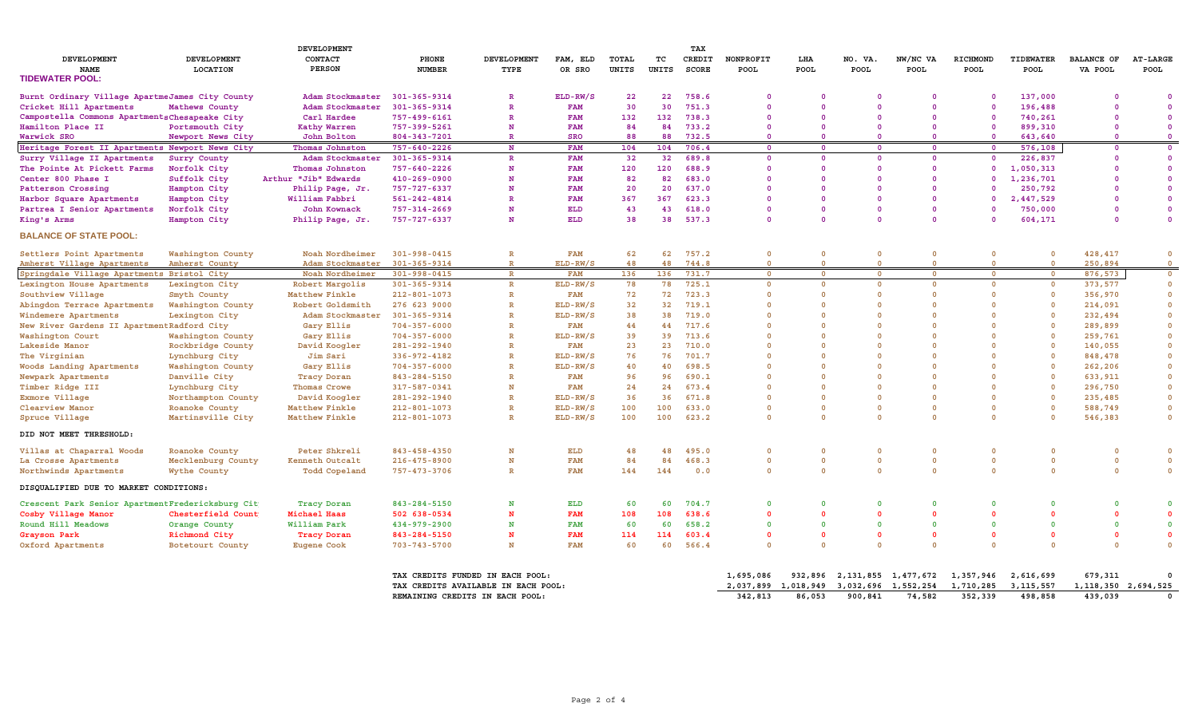|                                                         |                                       | DEVELOPMENT                         | TAX                             |                                     |                        |                |             |                 |                          |                      |                               |                            |                          |                                 |                              |                           |
|---------------------------------------------------------|---------------------------------------|-------------------------------------|---------------------------------|-------------------------------------|------------------------|----------------|-------------|-----------------|--------------------------|----------------------|-------------------------------|----------------------------|--------------------------|---------------------------------|------------------------------|---------------------------|
| <b>DEVELOPMENT</b><br><b>NAME</b>                       | <b>DEVELOPMENT</b><br><b>LOCATION</b> | CONTACT<br><b>PERSON</b>            | PHONE<br><b>NUMBER</b>          | <b>DEVELOPMENT</b><br>TYPE          | FAM, ELD<br>OR SRO     | TOTAL<br>UNITS | тc<br>UNITS | CREDIT<br>SCORE | NONPROFIT<br>POOL        | LHA<br>POOL          | NO. VA.<br>POOL               | NW/NC VA<br><b>POOL</b>    | RICHMOND<br>POOL         | <b>TIDEWATER</b><br><b>POOL</b> | <b>BALANCE OF</b><br>VA POOL | <b>AT-LARGE</b><br>POOL   |
| <b>TIDEWATER POOL:</b>                                  |                                       |                                     |                                 |                                     |                        |                |             |                 |                          |                      |                               |                            |                          |                                 |                              |                           |
| Burnt Ordinary Village ApartmeJames City County         |                                       | Adam Stockmaster                    | 301-365-9314                    | $\mathbb{R}$                        | ELD-RW/S               | 22             | 22          | 758.6           | $\mathbf 0$              | $\Omega$             | $\Omega$                      | $\Omega$                   | $\Omega$                 | 137,000                         | $\Omega$                     |                           |
| Cricket Hill Apartments                                 | Mathews County                        | Adam Stockmaster                    | 301-365-9314                    | $\mathbb{R}$                        | <b>FAM</b>             | 30             | 30          | 751.3           | $\Omega$                 | $\Omega$             | $\Omega$                      | $\Omega$                   | $\Omega$                 | 196,488                         |                              | $\Omega$                  |
| Campostella Commons Apartments Chesapeake City          |                                       | Carl Hardee                         | 757-499-6161                    | $\mathbb{R}$                        | <b>FAM</b>             | 132            | 132         | 738.3           | $\mathbf{0}$             | $\Omega$             | $\Omega$                      | $\Omega$                   | $\Omega$                 | 740,261                         | $\Omega$                     | $\Omega$                  |
| Hamilton Place II                                       | Portsmouth City                       | <b>Kathy Warren</b>                 | 757-399-5261                    | N                                   | <b>FAM</b>             | 84             | 84          | 733.2           | $\Omega$                 | $\Omega$             | $\Omega$                      | $\Omega$                   | $\Omega$                 | 899,310                         |                              | $\Omega$                  |
| Warwick SRO                                             | Newport News City                     | John Bolton                         | 804-343-7201                    | $\mathbb{R}$                        | <b>SRO</b>             | 88             | 88          | 732.5           | $\Omega$                 | $\Omega$             | $\Omega$                      | $\Omega$                   | $\Omega$                 | 643,640                         | $\mathbf{0}$                 | $\Omega$                  |
| Heritage Forest II Apartments Newport News City         |                                       | Thomas Johnston                     | 757-640-2226                    | N                                   | <b>FAM</b>             | 104            | 104         | 706.4           | $\overline{0}$           | $\Omega$             | $\Omega$                      | $\overline{0}$             | $\overline{0}$           | 576,108                         | 0                            | $\mathbf{0}$              |
| Surry Village II Apartments                             | Surry County                          | Adam Stockmaster                    | 301-365-9314                    | R                                   | <b>FAM</b>             | 32             | 32          | 689.8           | $\mathbf 0$              | $\mathbf 0$          | $\Omega$                      | $\Omega$                   | $\Omega$                 | 226,837                         | O                            | $\overline{0}$            |
| The Pointe At Pickett Farms                             | Norfolk City                          | Thomas Johnston                     | 757-640-2226                    | N                                   | <b>FAM</b>             | 120            | 120         | 688.9           | $\mathbf 0$              | $\Omega$             | $\Omega$                      | $\Omega$                   | $\mathbf 0$              | 1,050,313                       |                              | $\Omega$                  |
| Center 800 Phase I                                      | Suffolk City                          | Arthur "Jib" Edwards                | 410-269-0900                    | N                                   | <b>FAM</b>             | 82             | 82          | 683.0           | $\Omega$                 | $\Omega$             | $\Omega$                      | $\Omega$                   | $\Omega$                 | 1,236,701                       | n                            | $\Omega$                  |
| Patterson Crossing                                      | Hampton City                          | Philip Page, Jr.                    | 757-727-6337                    | N                                   | <b>FAM</b>             | 20             | 20          | 637.0           | $\Omega$                 | $\Omega$             | $\Omega$                      | $\Omega$                   | $\Omega$                 | 250,792                         |                              | $\Omega$                  |
| Harbor Square Apartments                                | Hampton City                          | William Fabbri                      | 561-242-4814                    | $\mathbf R$                         | <b>FAM</b>             | 367            | 367         | 623.3           | $\Omega$                 | $\Omega$             | $\Omega$                      | $\Omega$                   | $\Omega$                 | 2,447,529                       | n                            |                           |
| Partrea I Senior Apartments                             | Norfolk City                          | John Kownack                        | 757-314-2669                    | N                                   | <b>ELD</b>             | 43             | 43          | 618.0           | $\Omega$                 | $\Omega$             | $\Omega$                      | $\Omega$                   | $\Omega$                 | 750,000                         |                              | $\Omega$                  |
| King's Arms                                             | Hampton City                          | Philip Page, Jr.                    | 757-727-6337                    | N                                   | <b>ELD</b>             | 38             | 38          | 537.3           | $\mathbf{0}$             | $\Omega$             | $\Omega$                      | $\Omega$                   | $\Omega$                 | 604,171                         | O                            | $\Omega$                  |
| <b>BALANCE OF STATE POOL:</b>                           |                                       |                                     |                                 |                                     |                        |                |             |                 |                          |                      |                               |                            |                          |                                 |                              |                           |
|                                                         |                                       |                                     |                                 |                                     |                        |                |             |                 |                          |                      | $\Omega$                      |                            |                          |                                 |                              |                           |
| Settlers Point Apartments<br>Amherst Village Apartments | Washington County<br>Amherst County   | Noah Nordheimer<br>Adam Stockmaster | 301-998-0415<br>301-365-9314    | $\mathbb{R}$<br>$\mathbb{R}$        | <b>FAM</b><br>ELD-RW/S | 62<br>48       | 62<br>48    | 757.2<br>744.8  | $\Omega$<br>$\Omega$     | $\Omega$<br>$\Omega$ | $\Omega$                      | $\Omega$<br>$\overline{0}$ | $\Omega$<br>$\Omega$     | $\Omega$                        | 428,417<br>250,894           | $\Omega$<br>$\Omega$      |
| Springdale Village Apartments Bristol City              |                                       | Noah Nordheimer                     |                                 |                                     |                        |                | 136         | 731.7           |                          | $\Omega$             | $\Omega$                      |                            |                          |                                 | 876,573                      |                           |
|                                                         |                                       |                                     | $301 - 998 - 0415$              | $\mathbb{R}$<br>$\mathbb{R}$        | <b>FAM</b>             | 136            | 78          | 725.1           | $\Omega$<br>$\mathbf{0}$ | $\mathbf{0}$         | $\Omega$                      | $\Omega$<br>$\Omega$       | $\Omega$<br>$\mathbf{0}$ | $\Omega$                        | 373,577                      | $\circ$<br>$\overline{0}$ |
| Lexington House Apartments<br>Southview Village         | Lexington City<br>Smyth County        | Robert Margolis<br>Matthew Finkle   | 301-365-9314<br>212-801-1073    | $\mathbb{R}$                        | ELD-RW/S<br><b>FAM</b> | 78<br>72       | 72          | 723.3           | $\mathbf{0}$             | $\Omega$             | $\mathbf{0}$                  | $\Omega$                   | $\Omega$                 |                                 | 356,970                      | $\overline{0}$            |
|                                                         |                                       |                                     |                                 | $\mathbb{R}$                        |                        | 32             | 32          |                 | $\mathbf 0$              | $\Omega$             | $\Omega$                      | $\Omega$                   | $\Omega$                 |                                 |                              | $\mathbf 0$               |
| Abingdon Terrace Apartments                             | Washington County                     | Robert Goldsmith                    | 276 623 9000                    |                                     | $ELD-RW/S$             | 38             |             | 719.1           | $\Omega$                 | $\Omega$             | $\Omega$                      | $\Omega$                   | $\Omega$                 |                                 | 214,091                      |                           |
| Windemere Apartments                                    | Lexington City                        | Adam Stockmaster                    | 301-365-9314                    | $\mathbb{R}$                        | ELD-RW/S               |                | 38          | 719.0           |                          | $\Omega$             | $\Omega$                      | $\Omega$                   | $\Omega$                 |                                 | 232,494                      | $\mathbf 0$               |
| New River Gardens II Apartment Radford City             |                                       | Gary Ellis                          | $704 - 357 - 6000$              | $\mathbb{R}$                        | <b>FAM</b>             | 44             | 44          | 717.6           | $\Omega$                 |                      |                               |                            |                          |                                 | 289,899                      | $\Omega$                  |
| Washington Court                                        | Washington County                     | Gary Ellis                          | $704 - 357 - 6000$              | $\mathbb{R}$                        | $ELD-RW/S$             | 39             | 39          | 713.6           | $\mathbf 0$              | $\Omega$             | $\Omega$                      | $\Omega$                   | $\Omega$                 |                                 | 259,761                      | $\Omega$                  |
| Lakeside Manor                                          | Rockbridge County                     | David Koogler                       | 281-292-1940                    | $\mathbb{R}$                        | <b>FAM</b>             | 23             | 23          | 710.0           | $\Omega$                 | $\Omega$             | $\Omega$                      | $\Omega$                   | $\Omega$                 |                                 | 140,055                      | $\Omega$                  |
| The Virginian                                           | Lynchburg City                        | Jim Sari                            | 336-972-4182                    | $\mathbb{R}$                        | $ELD-RW/S$             | 76             | 76          | 701.7           | $\Omega$                 | $\mathbf{0}$         | $\Omega$                      | $\Omega$                   | $\mathbf{0}$             |                                 | 848,478                      | $\Omega$                  |
| <b>Woods Landing Apartments</b>                         | Washington County                     | Gary Ellis                          | $704 - 357 - 6000$              | $\mathbb{R}$                        | ELD-RW/S               | 40             | 40          | 698.5           | $\Omega$                 | $\Omega$             | $\Omega$                      | $\Omega$                   | $\Omega$                 | $\Omega$                        | 262,206                      | $\mathbf 0$               |
| Newpark Apartments                                      | Danville City                         | <b>Tracy Doran</b>                  | 843-284-5150                    | $\mathbb{R}$                        | <b>FAM</b>             | 96             | 96          | 690.1           | $\mathbf 0$              | $\Omega$             | $\Omega$                      | $\Omega$                   | $\Omega$                 |                                 | 633,911                      | $\Omega$                  |
| Timber Ridge III                                        | Lynchburg City                        | Thomas Crowe                        | 317-587-0341                    | N                                   | <b>FAM</b>             | 24             | 24          | 673.4           | $\mathbf 0$              | $\Omega$             | $\mathbf{0}$                  | $\Omega$                   | $\Omega$                 |                                 | 296,750                      | $\mathbf 0$               |
| Exmore Village                                          | Northampton County                    | David Koogler                       | 281-292-1940                    | $\mathbb{R}$                        | ELD-RW/S               | 36             | 36          | 671.8           | $\Omega$                 | $\mathbf{0}$         | $\Omega$                      | $\Omega$                   | $\Omega$                 |                                 | 235,485                      | $\Omega$                  |
| Clearview Manor                                         | Roanoke County                        | Matthew Finkle                      | $212 - 801 - 1073$              | $\mathbb{R}$                        | ELD-RW/S               | 100            | 100         | 633.0           | $\mathbf 0$              | $\overline{0}$       | $\overline{\mathbf{0}}$       | $\overline{0}$             | $\mathbf 0$              |                                 | 588,749                      |                           |
| Spruce Village                                          | Martinsville City                     | Matthew Finkle                      | $212 - 801 - 1073$              | $\mathbb{R}$                        | ELD-RW/S               | 100            | 100         | 623.2           | $\Omega$                 | $\Omega$             | $\Omega$                      | $\Omega$                   | $\Omega$                 |                                 | 546,383                      | $\Omega$                  |
| DID NOT MEET THRESHOLD:                                 |                                       |                                     |                                 |                                     |                        |                |             |                 |                          |                      |                               |                            |                          |                                 |                              |                           |
| Villas at Chaparral Woods                               | Roanoke County                        | Peter Shkreli                       | 843-458-4350                    | N                                   | <b>ELD</b>             | 48             | 48          | 495.0           | $\mathbf 0$              | $\Omega$             | $\Omega$                      | $\Omega$                   | $\Omega$                 |                                 | 0                            | $\Omega$                  |
| La Crosse Apartments                                    | Mecklenburg County                    | Kenneth Outcalt                     | $216 - 475 - 8900$              | N                                   | <b>FAM</b>             | 84             | 84          | 468.3           | $\mathbf 0$              | $\mathbf 0$          | $\mathbf{0}$                  | $\overline{0}$             | $\mathbf 0$              | $\Omega$                        | $\mathbf 0$                  | $\Omega$                  |
| Northwinds Apartments                                   | Wythe County                          | <b>Todd Copeland</b>                | 757-473-3706                    | $\mathbb{R}$                        | <b>FAM</b>             | 144            | 144         | 0.0             | $\mathbf 0$              | $\mathbf{0}$         | $\mathbf{0}$                  | $\Omega$                   | $\mathbf{0}$             |                                 | $\overline{0}$               | $\Omega$                  |
| DISQUALIFIED DUE TO MARKET CONDITIONS:                  |                                       |                                     |                                 |                                     |                        |                |             |                 |                          |                      |                               |                            |                          |                                 |                              |                           |
| Crescent Park Senior Apartment Fredericksburg Cit       |                                       | <b>Tracy Doran</b>                  | 843-284-5150                    | N                                   | <b>ELD</b>             | 60             | 60          | 704.7           | $\mathbf 0$              | $\Omega$             | $\Omega$                      | $\Omega$                   | $\mathbf{0}$             |                                 |                              |                           |
| Cosby Village Manor                                     | Chesterfield Count                    | Michael Haas                        | 502 638-0534                    |                                     | <b>FAM</b>             | 108            | 108         | 638.6           | $\Omega$                 | $\Omega$             | $\Omega$                      | $\Omega$                   | $\Omega$                 |                                 | $\Omega$                     | $\Omega$                  |
| Round Hill Meadows                                      | Orange County                         | William Park                        | 434-979-2900                    | N                                   | <b>FAM</b>             | 60             | 60          | 658.2           | $\mathbf 0$              | $\mathbf 0$          | $\mathbf{0}$                  | $\Omega$                   | $\Omega$                 |                                 | $\mathbf{0}$                 | $\Omega$                  |
| Grayson Park                                            | Richmond City                         | <b>Tracy Doran</b>                  | 843-284-5150                    | N                                   | <b>FAM</b>             | 114            | 114         | 603.4           | $\mathbf 0$              | $\mathbf{0}$         | $\Omega$                      | $\Omega$                   | $\mathbf 0$              |                                 | 0                            |                           |
| Oxford Apartments                                       | Botetourt County                      | <b>Eugene Cook</b>                  | $703 - 743 - 5700$              | N                                   | <b>FAM</b>             | 60             | 60          | 566.4           | $\Omega$                 | $\mathbf{0}$         | $\Omega$                      | $\Omega$                   | $\Omega$                 | $\Omega$                        | $\Omega$                     | $\Omega$                  |
|                                                         |                                       |                                     |                                 | TAX CREDITS FUNDED IN EACH POOL:    |                        |                |             |                 | 1,695,086                |                      | 932,896 2,131,855 1,477,672   |                            | 1,357,946                | 2,616,699                       | 679,311                      | $\Omega$                  |
|                                                         |                                       |                                     |                                 | TAX CREDITS AVAILABLE IN EACH POOL: |                        |                |             |                 | 2,037,899                |                      | 1,018,949 3,032,696 1,552,254 |                            | 1,710,285                | 3, 115, 557                     | 1, 118, 350 2, 694, 525      |                           |
|                                                         |                                       |                                     | REMAINING CREDITS IN EACH POOL: |                                     |                        |                |             | 342,813         | 86,053                   | 900,841              | 74,582                        | 352,339                    | 498,858                  | 439,039                         | $\Omega$                     |                           |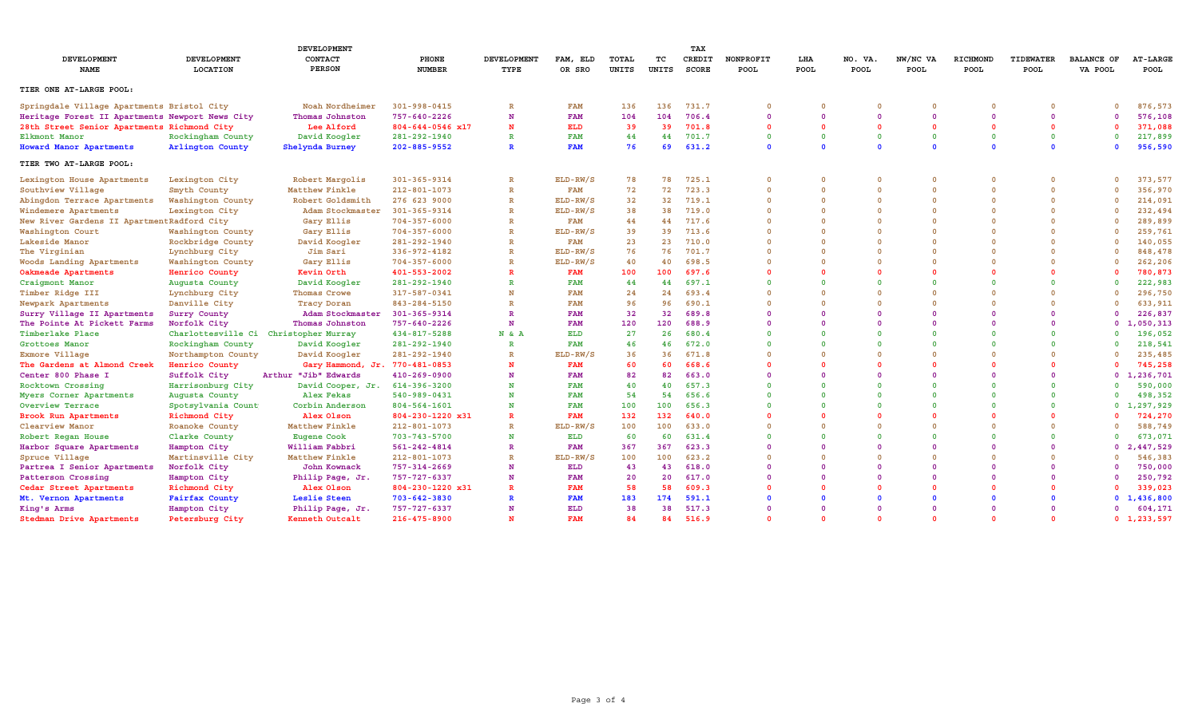|                                                 |                         | <b>DEVELOPMENT</b>                    |                        |                     |                    |                |             | TAX                    |                   |                    |                        |                         |                  |                   |                              |                                |
|-------------------------------------------------|-------------------------|---------------------------------------|------------------------|---------------------|--------------------|----------------|-------------|------------------------|-------------------|--------------------|------------------------|-------------------------|------------------|-------------------|------------------------------|--------------------------------|
| <b>DEVELOPMENT</b><br>NAME                      | DEVELOPMENT<br>LOCATION | CONTACT<br><b>PERSON</b>              | PHONE<br><b>NUMBER</b> | DEVELOPMENT<br>TYPE | FAM, ELD<br>OR SRO | TOTAL<br>UNITS | тc<br>UNITS | CREDIT<br><b>SCORE</b> | NONPROFIT<br>POOL | LHA<br><b>POOL</b> | NO. VA.<br><b>POOL</b> | NW/NC VA<br><b>POOL</b> | RICHMOND<br>POOL | TIDEWATER<br>POOL | <b>BALANCE OF</b><br>VA POOL | <b>AT-LARGE</b><br><b>POOL</b> |
| TIER ONE AT-LARGE POOL:                         |                         |                                       |                        |                     |                    |                |             |                        |                   |                    |                        |                         |                  |                   |                              |                                |
| Springdale Village Apartments Bristol City      |                         | Noah Nordheimer                       | $301 - 998 - 0415$     |                     | <b>FAM</b>         | 136            | 136         | 731.7                  | 0                 |                    |                        |                         | $\Omega$         |                   | $\Omega$                     | 876,573                        |
| Heritage Forest II Apartments Newport News City |                         | Thomas Johnston                       | 757-640-2226           | N                   | <b>FAM</b>         | 104            | 104         | 706.4                  | $\Omega$          | $\Omega$           | $\Omega$               | $\Omega$                | $\Omega$         | $\Omega$          | $\Omega$                     | 576,108                        |
| 28th Street Senior Apartments Richmond City     |                         | Lee Alford                            | $804 - 644 - 0546$ x17 | N                   | ELD                | 39             | 39          | 701.8                  | 0                 | $\Omega$           | $\Omega$               |                         | $\Omega$         |                   | $\Omega$                     | 371,088                        |
| Elkmont Manor                                   | Rockingham County       | David Koogler                         | 281-292-1940           | $\mathbb{R}$        | <b>FAM</b>         | 44             | 44          | 701.7                  | $\mathbf{0}$      | $\Omega$           | $\Omega$               | $\Omega$                | $\Omega$         | $\Omega$          | $\Omega$                     | 217,899                        |
| <b>Howard Manor Apartments</b>                  | Arlington County        | Shelynda Burney                       | $202 - 885 - 9552$     |                     | <b>FAM</b>         | 76             | 69          | 631.2                  | $\mathbf{0}$      | $\Omega$           | $\Omega$               |                         | $\Omega$         |                   | $\Omega$                     | 956,590                        |
| TIER TWO AT-LARGE POOL:                         |                         |                                       |                        |                     |                    |                |             |                        |                   |                    |                        |                         |                  |                   |                              |                                |
| Lexington House Apartments                      | Lexington City          | Robert Margolis                       | 301-365-9314           | $\mathbb{R}$        | ELD-RW/S           | 78             | 78          | 725.1                  | $\Omega$          | $\Omega$           |                        | $\Omega$                | $\Omega$         |                   | $\Omega$                     | 373,577                        |
| Southview Village                               | Smyth County            | Matthew Finkle                        | $212 - 801 - 1073$     | $\mathbb R$         | <b>FAM</b>         | 72             | 72          | 723.3                  | $\mathbf 0$       | $\Omega$           | $\Omega$               | $\Omega$                | $\Omega$         |                   | $\Omega$                     | 356,970                        |
| Abingdon Terrace Apartments                     | Washington County       | Robert Goldsmith                      | 276 623 9000           | $\mathbb R$         | ELD-RW/S           | 32             | 32          | 719.1                  | $\Omega$          | $\Omega$           | $\Omega$               | $\Omega$                | $\Omega$         |                   | $\Omega$                     | 214,091                        |
| Windemere Apartments                            | Lexington City          | Adam Stockmaster                      | 301-365-9314           | $\mathbb{R}$        | $ELD-RW/S$         | 38             | 38          | 719.0                  | 0                 | $\Omega$           |                        | $\Omega$                | $\Omega$         |                   | $\Omega$                     | 232,494                        |
| New River Gardens II Apartment Radford City     |                         | Gary Ellis                            | $704 - 357 - 6000$     | $\mathbb R$         | <b>FAM</b>         | 44             | 44          | 717.6                  | $\Omega$          | $\Omega$           | $\Omega$               | $\Omega$                | $\Omega$         |                   | $\Omega$                     | 289,899                        |
| Washington Court                                | Washington County       | Gary Ellis                            | $704 - 357 - 6000$     | $\mathbb{R}$        | ELD-RW/S           | 39             | 39          | 713.6                  | $\Omega$          | $\Omega$           | $\Omega$               | $\Omega$                | $\Omega$         |                   | $\Omega$                     | 259,761                        |
| Lakeside Manor                                  | Rockbridge County       | David Koogler                         | 281-292-1940           | R                   | <b>FAM</b>         | 23             | 23          | 710.0                  | $\Omega$          | $\Omega$           |                        |                         | $\Omega$         |                   | $\Omega$                     | 140,055                        |
| The Virginian                                   | Lynchburg City          | Jim Sari                              | 336-972-4182           | $\mathbb R$         | ELD-RW/S           | 76             | 76          | 701.7                  | $\Omega$          | $\Omega$           | $\Omega$               | $\Omega$                | $\Omega$         |                   |                              | 848,478                        |
| Woods Landing Apartments                        | Washington County       | Gary Ellis                            | $704 - 357 - 6000$     | R                   | $ELD-RW/S$         | 40             | 40          | 698.5                  | 0                 | $\Omega$           |                        |                         | $\Omega$         |                   |                              | 262,206                        |
| Oakmeade Apartments                             | Henrico County          | Kevin Orth                            | 401-553-2002           | $\mathbf R$         | <b>FAM</b>         | 100            | 100         | 697.6                  | $\Omega$          | $\Omega$           |                        |                         | $\Omega$         |                   | $\Omega$                     | 780,873                        |
| Craigmont Manor                                 | Augusta County          | David Koogler                         | 281-292-1940           | R                   | <b>FAM</b>         | 44             | 44          | 697.1                  | $\Omega$          | $\Omega$           | $\Omega$               |                         | $\Omega$         |                   | $\Omega$                     | 222,983                        |
| Timber Ridge III                                | Lynchburg City          | Thomas Crowe                          | 317-587-0341           | N                   | <b>FAM</b>         | 24             | 24          | 693.4                  | $\Omega$          | $\Omega$           |                        |                         |                  |                   | $\Omega$                     | 296,750                        |
| Newpark Apartments                              | Danville City           | <b>Tracy Doran</b>                    | 843-284-5150           |                     | <b>FAM</b>         | 96             | 96          | 690.1                  | $\Omega$          | $\Omega$           | $\Omega$               |                         | $\Omega$         |                   | $\Omega$                     | 633,911                        |
| Surry Village II Apartments                     | Surry County            | Adam Stockmaster                      | 301-365-9314           | $\mathbb{R}$        | <b>FAM</b>         | 32             | 32          | 689.8                  | $\Omega$          | $\Omega$           | $\Omega$               |                         | $\Omega$         |                   | $\Omega$                     | 226,837                        |
| The Pointe At Pickett Farms                     | Norfolk City            | Thomas Johnston                       | 757-640-2226           | N                   | <b>FAM</b>         | 120            | 120         | 688.9                  | $\Omega$          | $\Omega$           | $\Omega$               |                         | $\Omega$         |                   |                              | 0, 1, 050, 313                 |
| Timberlake Place                                |                         | Charlottesville Ci Christopher Murray | 434-817-5288           | N & A               | ELD                | 27             | 26          | 680.4                  | $\Omega$          | $\Omega$           | $\Omega$               | $\Omega$                | $\Omega$         |                   | $\Omega$                     | 196,052                        |
| Grottoes Manor                                  | Rockingham County       | David Koogler                         | 281-292-1940           | $\mathbb{R}$        | <b>FAM</b>         | 46             | 46          | 672.0                  | $\Omega$          | $\Omega$           |                        |                         | $\Omega$         |                   | $\Omega$                     | 218,541                        |
| Exmore Village                                  | Northampton County      | David Koogler                         | 281-292-1940           | $\mathbb{R}$        | $ELD-RW/S$         | 36             | 36          | 671.8                  |                   | $\Omega$           | $\Omega$               |                         |                  |                   | $\Omega$                     | 235,485                        |
| The Gardens at Almond Creek                     | Henrico County          | Gary Hammond, Jr. 770-481-0853        |                        | N                   | <b>FAM</b>         | 60             | 60          | 668.6                  | $\Omega$          | $\Omega$           | $\Omega$               |                         | $\Omega$         |                   | $\Omega$                     | 745,258                        |
| Center 800 Phase I                              | Suffolk City            | Arthur "Jib" Edwards                  | $410 - 269 - 0900$     | N                   | <b>FAM</b>         | 82             | 82          | 663.0                  | $\Omega$          | $\Omega$           | $\Omega$               |                         | $\Omega$         |                   |                              | 0 1, 236, 701                  |
| Rocktown Crossing                               | Harrisonburg City       | David Cooper, Jr.                     | 614-396-3200           | N                   | <b>FAM</b>         | 40             | 40          | 657.3                  | $\Omega$          | $\Omega$           | $\Omega$               |                         | $\Omega$         |                   | $\Omega$                     | 590,000                        |
| Myers Corner Apartments                         | Augusta County          | Alex Fekas                            | 540-989-0431           | N                   | <b>FAM</b>         | 54             | 54          | 656.6                  | $\Omega$          | $\Omega$           | $\Omega$               |                         | $\Omega$         |                   | $\Omega$                     | 498,352                        |
| Overview Terrace                                | Spotsylvania Count      | Corbin Anderson                       | $804 - 564 - 1601$     | N                   | <b>FAM</b>         | 100            | 100         | 656.3                  |                   | $\Omega$           | $\Omega$               |                         | $\Omega$         |                   |                              | 0, 1, 297, 929                 |
| Brook Run Apartments                            | Richmond City           | Alex Olson                            | 804-230-1220 x31       | R                   | <b>FAM</b>         | 132            | 132         | 640.0                  | O                 | $\Omega$           |                        |                         | $\Omega$         |                   | $\Omega$                     | 724,270                        |
| Clearview Manor                                 | Roanoke County          | Matthew Finkle                        | 212-801-1073           | $\mathbb{R}$        | $ELD-RW/S$         | 100            | 100         | 633.0                  | $\Omega$          | $\Omega$           | $\Omega$               | $\Omega$                | $\Omega$         |                   | $\Omega$                     | 588,749                        |
| Robert Regan House                              | Clarke County           | <b>Eugene Cook</b>                    | 703-743-5700           | N                   | ELD                | 60             | 60          | 631.4                  | $\Omega$          | $\Omega$           | $\Omega$               |                         | $\Omega$         |                   | $\Omega$                     | 673,071                        |
| Harbor Square Apartments                        | Hampton City            | William Fabbri                        | 561-242-4814           | $\mathbb{R}$        | <b>FAM</b>         | 367            | 367         | 623.3                  | $\Omega$          | $\Omega$           | $\Omega$               |                         | $\Omega$         |                   |                              | 0, 2, 447, 529                 |
| Spruce Village                                  | Martinsville City       | Matthew Finkle                        | $212 - 801 - 1073$     | $\mathbb{R}$        | ELD-RW/S           | 100            | 100         | 623.2                  | $\Omega$          | $\Omega$           | $\Omega$               |                         | $\Omega$         |                   | $\Omega$                     | 546,383                        |
| Partrea I Senior Apartments                     | Norfolk City            | John Kownack                          | 757-314-2669           | N                   | ELD                | 43             | 43          | 618.0                  |                   | $\Omega$           |                        |                         |                  |                   | $\Omega$                     | 750,000                        |
| Patterson Crossing                              | Hampton City            | Philip Page, Jr.                      | 757-727-6337           | N                   | <b>FAM</b>         | 20             | 20          | 617.0                  | $\Omega$          | $\Omega$           | $\Omega$               |                         | $\Omega$         |                   | $\Omega$                     | 250,792                        |
| Cedar Street Apartments                         | Richmond City           | Alex Olson                            | 804-230-1220 x31       | $\mathbf R$         | <b>FAM</b>         | 58             | 58          | 609.3                  |                   | $\Omega$           |                        |                         | $\Omega$         |                   | $\Omega$                     | 339,023                        |
| Mt. Vernon Apartments                           | Fairfax County          | Leslie Steen                          | 703-642-3830           |                     | <b>FAM</b>         | 183            | 174         | 591.1                  |                   | $\Omega$           |                        |                         |                  |                   |                              | 0, 1, 436, 800                 |
| King's Arms                                     | Hampton City            | Philip Page, Jr.                      | 757-727-6337           |                     | ELD                | 38             | 38          | 517.3                  | O                 | $\Omega$           | $\Omega$               |                         | $\Omega$         |                   | $\Omega$                     | 604,171                        |
| Stedman Drive Apartments                        | Petersburg City         | Kenneth Outcalt                       | 216-475-8900           |                     | <b>FAM</b>         | 84             | 84          | 516.9                  | $\Omega$          | $\mathbf{0}$       | $\Omega$               |                         | $\Omega$         |                   |                              | 0, 1, 233, 597                 |
|                                                 |                         |                                       |                        |                     |                    |                |             |                        |                   |                    |                        |                         |                  |                   |                              |                                |